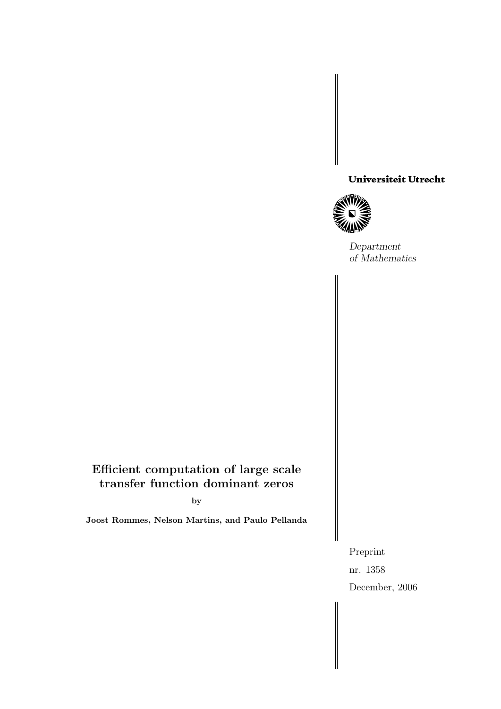# Universiteit Utrecht<br>William<br>Divides



Department of Mathematics

# Efficient computation of large scale transfer function dominant zeros

by

Joost Rommes, Nelson Martins, and Paulo Pellanda

Preprint nr. 1358 December, 2006

 $\parallel$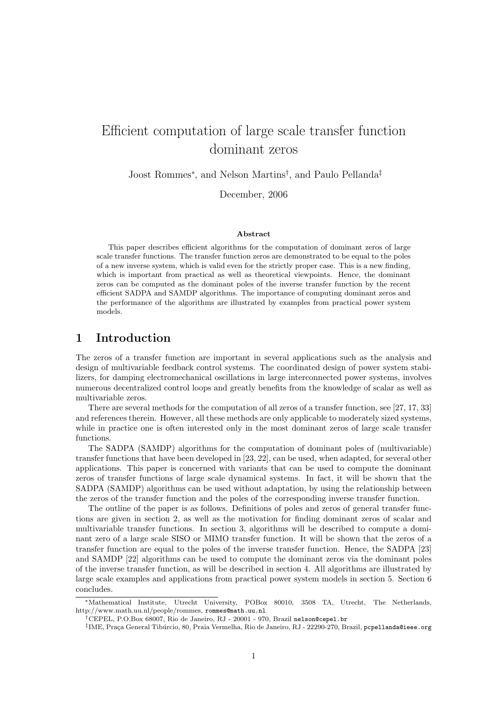# Efficient computation of large scale transfer function dominant zeros

Joost Rommes<sup>∗</sup> , and Nelson Martins† , and Paulo Pellanda‡

December, 2006

#### Abstract

This paper describes efficient algorithms for the computation of dominant zeros of large scale transfer functions. The transfer function zeros are demonstrated to be equal to the poles of a new inverse system, which is valid even for the strictly proper case. This is a new finding, which is important from practical as well as theoretical viewpoints. Hence, the dominant zeros can be computed as the dominant poles of the inverse transfer function by the recent efficient SADPA and SAMDP algorithms. The importance of computing dominant zeros and the performance of the algorithms are illustrated by examples from practical power system models.

# 1 Introduction

The zeros of a transfer function are important in several applications such as the analysis and design of multivariable feedback control systems. The coordinated design of power system stabilizers, for damping electromechanical oscillations in large interconnected power systems, involves numerous decentralized control loops and greatly benefits from the knowledge of scalar as well as multivariable zeros.

There are several methods for the computation of all zeros of a transfer function, see [27, 17, 33] and references therein. However, all these methods are only applicable to moderately sized systems, while in practice one is often interested only in the most dominant zeros of large scale transfer functions.

The SADPA (SAMDP) algorithms for the computation of dominant poles of (multivariable) transfer functions that have been developed in [23, 22], can be used, when adapted, for several other applications. This paper is concerned with variants that can be used to compute the dominant zeros of transfer functions of large scale dynamical systems. In fact, it will be shown that the SADPA (SAMDP) algorithms can be used without adaptation, by using the relationship between the zeros of the transfer function and the poles of the corresponding inverse transfer function.

The outline of the paper is as follows. Definitions of poles and zeros of general transfer functions are given in section 2, as well as the motivation for finding dominant zeros of scalar and multivariable transfer functions. In section 3, algorithms will be described to compute a dominant zero of a large scale SISO or MIMO transfer function. It will be shown that the zeros of a transfer function are equal to the poles of the inverse transfer function. Hence, the SADPA [23] and SAMDP [22] algorithms can be used to compute the dominant zeros via the dominant poles of the inverse transfer function, as will be described in section 4. All algorithms are illustrated by large scale examples and applications from practical power system models in section 5. Section 6 concludes.

<sup>∗</sup>Mathematical Institute, Utrecht University, POBox 80010, 3508 TA, Utrecht, The Netherlands, http://www.math.uu.nl/people/rommes, rommes@math.uu.nl

<sup>†</sup>CEPEL, P.O.Box 68007, Rio de Janeiro, RJ - 20001 - 970, Brazil nelson@cepel.br

 $^{\ddagger}$ IME, Praça General Tibúrcio, 80, Praia Vermelha, Rio de Janeiro, RJ - 22290-270, Brazil, pcpellanda@ieee.org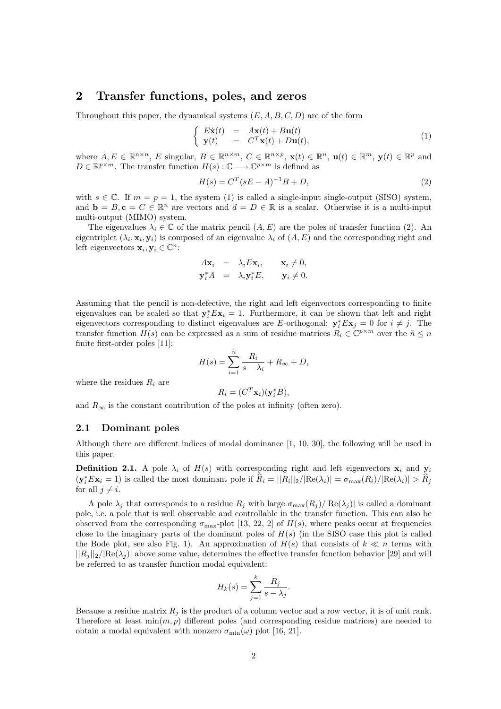## 2 Transfer functions, poles, and zeros

Throughout this paper, the dynamical systems  $(E, A, B, C, D)$  are of the form

$$
\begin{cases}\n\dot{E}\dot{\mathbf{x}}(t) = A\mathbf{x}(t) + B\mathbf{u}(t) \\
\mathbf{y}(t) = C^T\mathbf{x}(t) + D\mathbf{u}(t),\n\end{cases} (1)
$$

where  $A, E \in \mathbb{R}^{n \times n}$ , E singular,  $B \in \mathbb{R}^{n \times m}$ ,  $C \in \mathbb{R}^{n \times p}$ ,  $\mathbf{x}(t) \in \mathbb{R}^n$ ,  $\mathbf{u}(t) \in \mathbb{R}^m$ ,  $\mathbf{y}(t) \in \mathbb{R}^p$  and  $D \in \mathbb{R}^{p \times m}$ . The transfer function  $H(s) : \mathbb{C} \longrightarrow \mathbb{C}^{p \times m}$  is defined as

$$
H(s) = C^{T} (sE - A)^{-1}B + D,
$$
\n(2)

with  $s \in \mathbb{C}$ . If  $m = p = 1$ , the system (1) is called a single-input single-output (SISO) system, and  $\mathbf{b} = B, \mathbf{c} = C \in \mathbb{R}^n$  are vectors and  $d = D \in \mathbb{R}$  is a scalar. Otherwise it is a multi-input multi-output (MIMO) system.

The eigenvalues  $\lambda_i \in \mathbb{C}$  of the matrix pencil  $(A, E)$  are the poles of transfer function (2). An eigentriplet  $(\lambda_i, \mathbf{x}_i, \mathbf{y}_i)$  is composed of an eigenvalue  $\lambda_i$  of  $(A, E)$  and the corresponding right and left eigenvectors  $\mathbf{x}_i, \mathbf{y}_i \in \mathbb{C}^n$ :

$$
A\mathbf{x}_i = \lambda_i E\mathbf{x}_i, \quad \mathbf{x}_i \neq 0, \n\mathbf{y}_i^* A = \lambda_i \mathbf{y}_i^* E, \quad \mathbf{y}_i \neq 0.
$$

Assuming that the pencil is non-defective, the right and left eigenvectors corresponding to finite eigenvalues can be scaled so that  $y_i^* E x_i = 1$ . Furthermore, it can be shown that left and right eigenvectors corresponding to distinct eigenvalues are E-orthogonal:  $y_i^* E x_j = 0$  for  $i \neq j$ . The transfer function  $H(s)$  can be expressed as a sum of residue matrices  $R_i \in \mathbb{C}^{p \times m}$  over the  $\tilde{n} \leq n$ finite first-order poles [11]:

$$
H(s) = \sum_{i=1}^{\tilde{n}} \frac{R_i}{s - \lambda_i} + R_{\infty} + D,
$$

where the residues  $R_i$  are

$$
R_i = (C^T \mathbf{x}_i)(\mathbf{y}_i^* B),
$$

and  $R_{\infty}$  is the constant contribution of the poles at infinity (often zero).

#### 2.1 Dominant poles

Although there are different indices of modal dominance [1, 10, 30], the following will be used in this paper.

**Definition 2.1.** A pole  $\lambda_i$  of  $H(s)$  with corresponding right and left eigenvectors  $\mathbf{x}_i$  and  $\mathbf{y}_i$  $(\mathbf{y}_i^* E \mathbf{x}_i = 1)$  is called the most dominant pole if  $\hat{R}_i = ||R_i||_2 / |\text{Re}(\lambda_i)| = \sigma_{\text{max}}(R_i) / |\text{Re}(\lambda_i)| > \hat{R}_j$ for all  $j \neq i$ .

A pole  $\lambda_j$  that corresponds to a residue  $R_j$  with large  $\sigma_{\max}(R_j)/|\text{Re}(\lambda_j)|$  is called a dominant pole, i.e. a pole that is well observable and controllable in the transfer function. This can also be observed from the corresponding  $\sigma_{\text{max}}$ -plot [13, 22, 2] of  $H(s)$ , where peaks occur at frequencies close to the imaginary parts of the dominant poles of  $H(s)$  (in the SISO case this plot is called the Bode plot, see also Fig. 1). An approximation of  $H(s)$  that consists of  $k \ll n$  terms with  $||R_i||_2/|Re(\lambda_i)|$  above some value, determines the effective transfer function behavior [29] and will be referred to as transfer function modal equivalent:

$$
H_k(s) = \sum_{j=1}^k \frac{R_j}{s - \lambda_j}.
$$

Because a residue matrix  $R_i$  is the product of a column vector and a row vector, it is of unit rank. Therefore at least  $\min(m, p)$  different poles (and corresponding residue matrices) are needed to obtain a modal equivalent with nonzero  $\sigma_{\min}(\omega)$  plot [16, 21].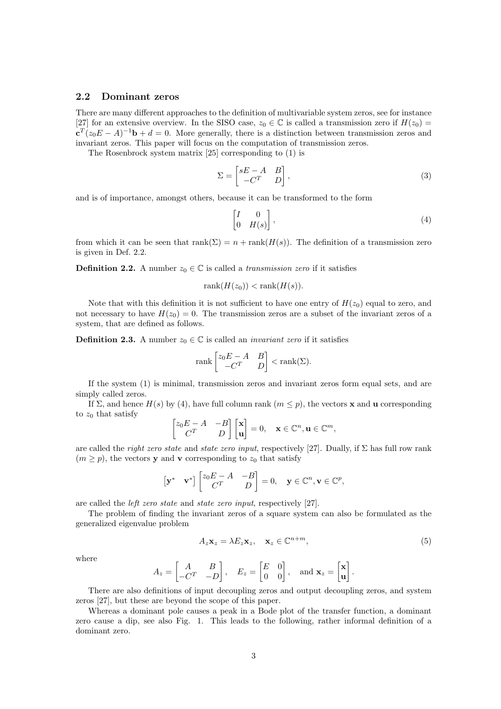#### 2.2 Dominant zeros

There are many different approaches to the definition of multivariable system zeros, see for instance [27] for an extensive overview. In the SISO case,  $z_0 \in \mathbb{C}$  is called a transmission zero if  $H(z_0)$  =  ${\bf c}^T(z_0E-A)^{-1}{\bf b}+d=0$ . More generally, there is a distinction between transmission zeros and invariant zeros. This paper will focus on the computation of transmission zeros.

The Rosenbrock system matrix [25] corresponding to (1) is

$$
\Sigma = \begin{bmatrix} sE - A & B \\ -C^T & D \end{bmatrix},
$$
\n(3)

and is of importance, amongst others, because it can be transformed to the form

$$
\begin{bmatrix} I & 0 \\ 0 & H(s) \end{bmatrix}, \tag{4}
$$

from which it can be seen that  $rank(\Sigma) = n + rank(H(s))$ . The definition of a transmission zero is given in Def. 2.2.

**Definition 2.2.** A number  $z_0 \in \mathbb{C}$  is called a transmission zero if it satisfies

$$
rank(H(z_0)) < rank(H(s)).
$$

Note that with this definition it is not sufficient to have one entry of  $H(z_0)$  equal to zero, and not necessary to have  $H(z_0) = 0$ . The transmission zeros are a subset of the invariant zeros of a system, that are defined as follows.

**Definition 2.3.** A number  $z_0 \in \mathbb{C}$  is called an *invariant zero* if it satisfies

$$
\operatorname{rank}\begin{bmatrix} z_0 E - A & B \\ -C^T & D \end{bmatrix} < \operatorname{rank}(\Sigma).
$$

If the system (1) is minimal, transmission zeros and invariant zeros form equal sets, and are simply called zeros.

If  $\Sigma$ , and hence  $H(s)$  by (4), have full column rank  $(m \leq p)$ , the vectors **x** and **u** corresponding to  $z_0$  that satisfy

$$
\begin{bmatrix} z_0 E - A & -B \ C^T & D \end{bmatrix} \begin{bmatrix} \mathbf{x} \\ \mathbf{u} \end{bmatrix} = 0, \quad \mathbf{x} \in \mathbb{C}^n, \mathbf{u} \in \mathbb{C}^m,
$$

are called the *right zero state* and *state zero input*, respectively [27]. Dually, if  $\Sigma$  has full row rank  $(m > p)$ , the vectors y and v corresponding to  $z_0$  that satisfy

$$
\begin{bmatrix} \mathbf{y}^* & \mathbf{v}^* \end{bmatrix} \begin{bmatrix} z_0 E - A & -B \\ C^T & D \end{bmatrix} = 0, \mathbf{y} \in \mathbb{C}^n, \mathbf{v} \in \mathbb{C}^p
$$

are called the left zero state and state zero input, respectively [27].

The problem of finding the invariant zeros of a square system can also be formulated as the generalized eigenvalue problem

$$
A_z \mathbf{x}_z = \lambda E_z \mathbf{x}_z, \quad \mathbf{x}_z \in \mathbb{C}^{n+m},\tag{5}
$$

where

$$
A_z = \begin{bmatrix} A & B \\ -C^T & -D \end{bmatrix}, \quad E_z = \begin{bmatrix} E & 0 \\ 0 & 0 \end{bmatrix}, \text{ and } \mathbf{x}_z = \begin{bmatrix} \mathbf{x} \\ \mathbf{u} \end{bmatrix}.
$$

There are also definitions of input decoupling zeros and output decoupling zeros, and system zeros [27], but these are beyond the scope of this paper.

Whereas a dominant pole causes a peak in a Bode plot of the transfer function, a dominant zero cause a dip, see also Fig. 1. This leads to the following, rather informal definition of a dominant zero.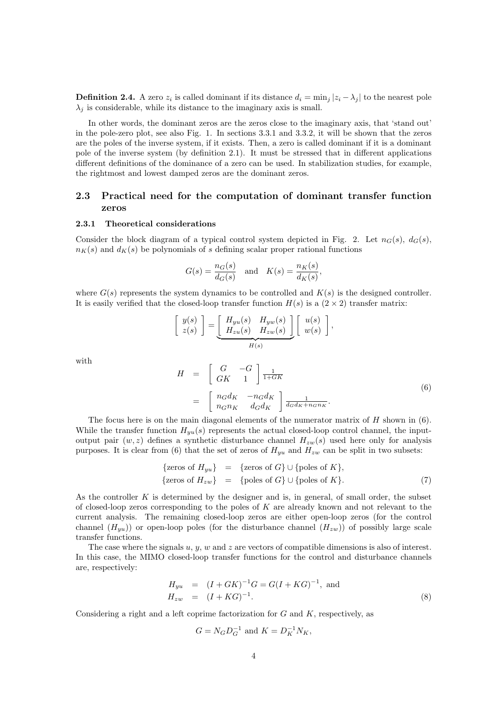**Definition 2.4.** A zero  $z_i$  is called dominant if its distance  $d_i = \min_j |z_i - \lambda_j|$  to the nearest pole  $\lambda_i$  is considerable, while its distance to the imaginary axis is small.

In other words, the dominant zeros are the zeros close to the imaginary axis, that 'stand out' in the pole-zero plot, see also Fig. 1. In sections 3.3.1 and 3.3.2, it will be shown that the zeros are the poles of the inverse system, if it exists. Then, a zero is called dominant if it is a dominant pole of the inverse system (by definition 2.1). It must be stressed that in different applications different definitions of the dominance of a zero can be used. In stabilization studies, for example, the rightmost and lowest damped zeros are the dominant zeros.

#### 2.3 Practical need for the computation of dominant transfer function zeros

#### 2.3.1 Theoretical considerations

Consider the block diagram of a typical control system depicted in Fig. 2. Let  $n_G(s)$ ,  $d_G(s)$ ,  $n_K(s)$  and  $d_K(s)$  be polynomials of s defining scalar proper rational functions

$$
G(s) = \frac{n_G(s)}{d_G(s)} \quad \text{and} \quad K(s) = \frac{n_K(s)}{d_K(s)},
$$

where  $G(s)$  represents the system dynamics to be controlled and  $K(s)$  is the designed controller. It is easily verified that the closed-loop transfer function  $H(s)$  is a  $(2 \times 2)$  transfer matrix:

$$
\left[\begin{array}{c}y(s)\\z(s)\end{array}\right]=\underbrace{\left[\begin{array}{cc}H_{yu}(s) & H_{yw}(s)\\H_{zu}(s) & H_{zw}(s)\end{array}\right]}_{H(s)}\left[\begin{array}{c}u(s)\\w(s)\end{array}\right],
$$

with

$$
H = \begin{bmatrix} G & -G \\ GK & 1 \end{bmatrix} \frac{1}{1+GK}
$$
  
= 
$$
\begin{bmatrix} n_G d_K & -n_G d_K \\ n_G n_K & d_G d_K \end{bmatrix} \frac{1}{d_G d_K + n_G n_K}.
$$
 (6)

The focus here is on the main diagonal elements of the numerator matrix of  $H$  shown in (6). While the transfer function  $H_{yu}(s)$  represents the actual closed-loop control channel, the inputoutput pair  $(w, z)$  defines a synthetic disturbance channel  $H_{zw}(s)$  used here only for analysis purposes. It is clear from (6) that the set of zeros of  $H_{yu}$  and  $H_{zw}$  can be split in two subsets:

$$
\begin{array}{rcl}\n\{\text{zeros of } H_{yu}\} & = & \{\text{zeros of } G\} \cup \{\text{poles of } K\}, \\
\{\text{zeros of } H_{zw}\} & = & \{\text{poles of } G\} \cup \{\text{poles of } K\}.\n\end{array} \tag{7}
$$

As the controller  $K$  is determined by the designer and is, in general, of small order, the subset of closed-loop zeros corresponding to the poles of  $K$  are already known and not relevant to the current analysis. The remaining closed-loop zeros are either open-loop zeros (for the control channel  $(H_{yu})$  or open-loop poles (for the disturbance channel  $(H_{zw})$ ) of possibly large scale transfer functions.

The case where the signals  $u, y, w$  and z are vectors of compatible dimensions is also of interest. In this case, the MIMO closed-loop transfer functions for the control and disturbance channels are, respectively:

$$
H_{yu} = (I + GK)^{-1}G = G(I + KG)^{-1}, \text{ and}
$$
  
\n
$$
H_{zw} = (I + KG)^{-1}.
$$
 (8)

Considering a right and a left coprime factorization for  $G$  and  $K$ , respectively, as

$$
G = N_G D_G^{-1}
$$
 and  $K = D_K^{-1} N_K$ ,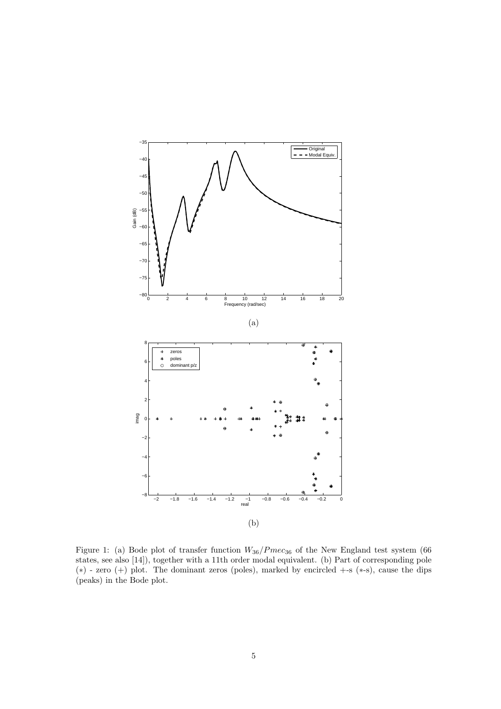

Figure 1: (a) Bode plot of transfer function  $W_{36}/Pmec_{36}$  of the New England test system (66) states, see also [14]), together with a 11th order modal equivalent. (b) Part of corresponding pole (∗) - zero (+) plot. The dominant zeros (poles), marked by encircled +-s (∗-s), cause the dips (peaks) in the Bode plot.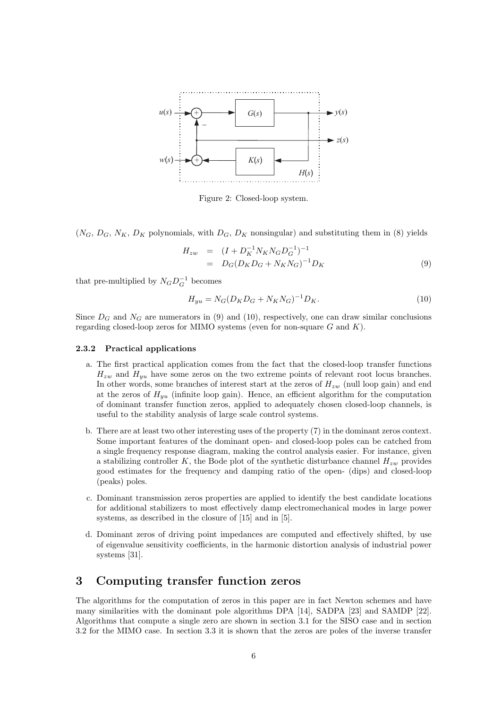

Figure 2: Closed-loop system.

 $(N_G, D_G, N_K, D_K$  polynomials, with  $D_G, D_K$  nonsingular) and substituting them in (8) yields

$$
H_{zw} = (I + D_K^{-1} N_K N_G D_G^{-1})^{-1}
$$
  
= 
$$
D_G (D_K D_G + N_K N_G)^{-1} D_K
$$
 (9)

that pre-multiplied by  $N_G D_G^{-1}$  becomes

$$
H_{yu} = N_G (D_K D_G + N_K N_G)^{-1} D_K.
$$
\n(10)

Since  $D_G$  and  $N_G$  are numerators in (9) and (10), respectively, one can draw similar conclusions regarding closed-loop zeros for MIMO systems (even for non-square  $G$  and  $K$ ).

#### 2.3.2 Practical applications

- a. The first practical application comes from the fact that the closed-loop transfer functions  $H_{zw}$  and  $H_{yu}$  have some zeros on the two extreme points of relevant root locus branches. In other words, some branches of interest start at the zeros of  $H_{zw}$  (null loop gain) and end at the zeros of  $H_{uu}$  (infinite loop gain). Hence, an efficient algorithm for the computation of dominant transfer function zeros, applied to adequately chosen closed-loop channels, is useful to the stability analysis of large scale control systems.
- b. There are at least two other interesting uses of the property (7) in the dominant zeros context. Some important features of the dominant open- and closed-loop poles can be catched from a single frequency response diagram, making the control analysis easier. For instance, given a stabilizing controller K, the Bode plot of the synthetic disturbance channel  $H_{zw}$  provides good estimates for the frequency and damping ratio of the open- (dips) and closed-loop (peaks) poles.
- c. Dominant transmission zeros properties are applied to identify the best candidate locations for additional stabilizers to most effectively damp electromechanical modes in large power systems, as described in the closure of [15] and in [5].
- d. Dominant zeros of driving point impedances are computed and effectively shifted, by use of eigenvalue sensitivity coefficients, in the harmonic distortion analysis of industrial power systems [31].

## 3 Computing transfer function zeros

The algorithms for the computation of zeros in this paper are in fact Newton schemes and have many similarities with the dominant pole algorithms DPA [14], SADPA [23] and SAMDP [22]. Algorithms that compute a single zero are shown in section 3.1 for the SISO case and in section 3.2 for the MIMO case. In section 3.3 it is shown that the zeros are poles of the inverse transfer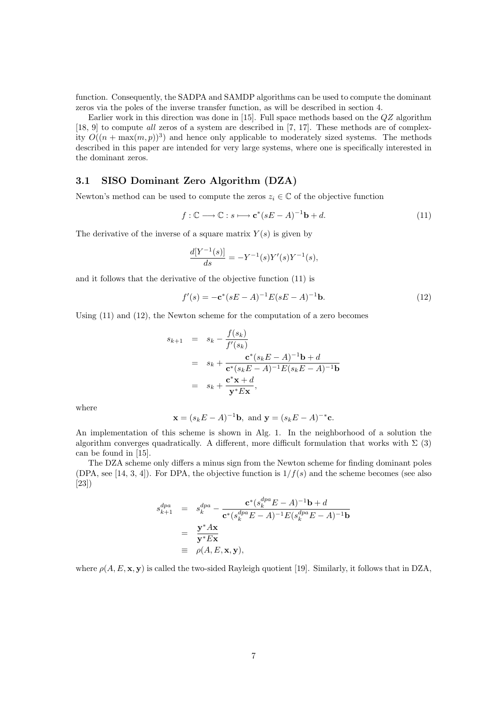function. Consequently, the SADPA and SAMDP algorithms can be used to compute the dominant zeros via the poles of the inverse transfer function, as will be described in section 4.

Earlier work in this direction was done in [15]. Full space methods based on the  $QZ$  algorithm [18, 9] to compute all zeros of a system are described in [7, 17]. These methods are of complexity  $O((n + \max(m, p))^3)$  and hence only applicable to moderately sized systems. The methods described in this paper are intended for very large systems, where one is specifically interested in the dominant zeros.

#### 3.1 SISO Dominant Zero Algorithm (DZA)

Newton's method can be used to compute the zeros  $z_i \in \mathbb{C}$  of the objective function

$$
f: \mathbb{C} \longrightarrow \mathbb{C}: s \longmapsto \mathbf{c}^*(sE - A)^{-1}\mathbf{b} + d. \tag{11}
$$

The derivative of the inverse of a square matrix  $Y(s)$  is given by

$$
\frac{d[Y^{-1}(s)]}{ds} = -Y^{-1}(s)Y'(s)Y^{-1}(s),
$$

and it follows that the derivative of the objective function (11) is

$$
f'(s) = -\mathbf{c}^*(sE - A)^{-1}E(sE - A)^{-1}\mathbf{b}.
$$
 (12)

Using (11) and (12), the Newton scheme for the computation of a zero becomes

$$
s_{k+1} = s_k - \frac{f(s_k)}{f'(s_k)}
$$
  
=  $s_k + \frac{\mathbf{c}^*(s_k E - A)^{-1} \mathbf{b} + d}{\mathbf{c}^*(s_k E - A)^{-1} E(s_k E - A)^{-1} \mathbf{b}}$   
=  $s_k + \frac{\mathbf{c}^* \mathbf{x} + d}{\mathbf{y}^* E \mathbf{x}},$ 

where

$$
\mathbf{x} = (s_k E - A)^{-1} \mathbf{b}
$$
, and  $\mathbf{y} = (s_k E - A)^{-*} \mathbf{c}$ .

An implementation of this scheme is shown in Alg. 1. In the neighborhood of a solution the algorithm converges quadratically. A different, more difficult formulation that works with  $\Sigma$  (3) can be found in [15].

The DZA scheme only differs a minus sign from the Newton scheme for finding dominant poles (DPA, see [14, 3, 4]). For DPA, the objective function is  $1/f(s)$  and the scheme becomes (see also [23])

$$
s_{k+1}^{dpa} = s_k^{dpa} - \frac{\mathbf{c}^*(s_k^{dpa}E - A)^{-1}\mathbf{b} + d}{\mathbf{c}^*(s_k^{dpa}E - A)^{-1}E(s_k^{dpa}E - A)^{-1}\mathbf{b}}
$$
  
= 
$$
\frac{\mathbf{y}^* A \mathbf{x}}{\mathbf{y}^* E \mathbf{x}}
$$
  
= 
$$
\rho(A, E, \mathbf{x}, \mathbf{y}),
$$

where  $\rho(A, E, \mathbf{x}, \mathbf{y})$  is called the two-sided Rayleigh quotient [19]. Similarly, it follows that in DZA,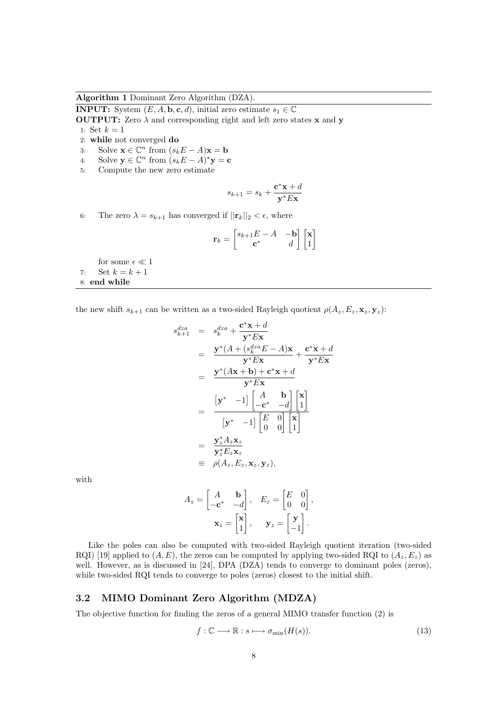Algorithm 1 Dominant Zero Algorithm (DZA).

**INPUT:** System  $(E, A, \mathbf{b}, \mathbf{c}, d)$ , initial zero estimate  $s_1 \in \mathbb{C}$ 

**OUTPUT:** Zero  $\lambda$  and corresponding right and left zero states **x** and **y** 1: Set  $k = 1$ 

- 2: while not converged do
- 3: Solve  $\mathbf{x} \in \mathbb{C}^n$  from  $(s_k E A)\mathbf{x} = \mathbf{b}$
- 4: Solve  $\mathbf{y} \in \mathbb{C}^n$  from  $(s_k E A)^* \mathbf{y} = \mathbf{c}$
- 5: Compute the new zero estimate

$$
s_{k+1} = s_k + \frac{\mathbf{c}^* \mathbf{x} + d}{\mathbf{y}^* E \mathbf{x}}
$$

6: The zero  $\lambda = s_{k+1}$  has converged if  $||\mathbf{r}_k||_2 < \epsilon$ , where

$$
\mathbf{r}_k = \begin{bmatrix} s_{k+1}E - A & -\mathbf{b} \\ \mathbf{c}^* & d \end{bmatrix} \begin{bmatrix} \mathbf{x} \\ 1 \end{bmatrix}
$$

for some  $\epsilon \ll 1$ 7: Set  $k = k + 1$ 8: end while

the new shift  $s_{k+1}$  can be written as a two-sided Rayleigh quotient  $\rho(A_z, E_z, \mathbf{x}_z, \mathbf{y}_z)$ :

$$
s_{k+1}^{dza} = s_k^{dza} + \frac{\mathbf{c}^* \mathbf{x} + d}{\mathbf{y}^* E \mathbf{x}}
$$
  
\n
$$
= \frac{\mathbf{y}^* (A + (s_k^{dza} E - A) \mathbf{x}}{\mathbf{y}^* E \mathbf{x}} + \frac{\mathbf{c}^* \mathbf{x} + d}{\mathbf{y}^* E \mathbf{x}}
$$
  
\n
$$
= \frac{\mathbf{y}^* (A \mathbf{x} + \mathbf{b}) + \mathbf{c}^* \mathbf{x} + d}{\mathbf{y}^* E \mathbf{x}}
$$
  
\n
$$
= \frac{\begin{bmatrix} \mathbf{y}^* & -1 \end{bmatrix} \begin{bmatrix} A & \mathbf{b} \\ -\mathbf{c}^* & -d \end{bmatrix} \begin{bmatrix} \mathbf{x} \\ 1 \end{bmatrix}}{\begin{bmatrix} \mathbf{y}^* & -1 \end{bmatrix} \begin{bmatrix} E & 0 \\ 0 & 0 \end{bmatrix} \begin{bmatrix} \mathbf{x} \\ 1 \end{bmatrix}}
$$
  
\n
$$
= \frac{\mathbf{y}_z^* A_z \mathbf{x}_z}{\mathbf{y}_z^* E_z \mathbf{x}_z}
$$
  
\n
$$
= \rho(A_z, E_z, \mathbf{x}_z, \mathbf{y}_z),
$$

with

$$
A_z = \begin{bmatrix} A & \mathbf{b} \\ -\mathbf{c}^* & -d \end{bmatrix}, \quad E_z = \begin{bmatrix} E & 0 \\ 0 & 0 \end{bmatrix},
$$

$$
\mathbf{x}_z = \begin{bmatrix} \mathbf{x} \\ 1 \end{bmatrix}, \quad \mathbf{y}_z = \begin{bmatrix} \mathbf{y} \\ -1 \end{bmatrix}.
$$

Like the poles can also be computed with two-sided Rayleigh quotient iteration (two-sided RQI) [19] applied to  $(A, E)$ , the zeros can be computed by applying two-sided RQI to  $(A_z, E_z)$  as well. However, as is discussed in [24], DPA (DZA) tends to converge to dominant poles (zeros), while two-sided RQI tends to converge to poles (zeros) closest to the initial shift.

#### 3.2 MIMO Dominant Zero Algorithm (MDZA)

The objective function for finding the zeros of a general MIMO transfer function (2) is

$$
f: \mathbb{C} \longrightarrow \mathbb{R}: s \longmapsto \sigma_{\min}(H(s)).\tag{13}
$$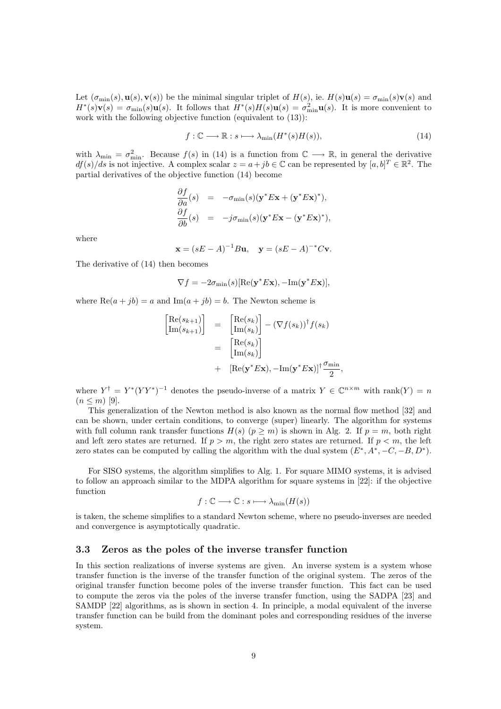Let  $(\sigma_{\min}(s), \mathbf{u}(s), \mathbf{v}(s))$  be the minimal singular triplet of  $H(s)$ , ie.  $H(s)\mathbf{u}(s) = \sigma_{\min}(s)\mathbf{v}(s)$  and  $H^*(s)\mathbf{v}(s) = \sigma_{\min}(s)\mathbf{u}(s)$ . It follows that  $H^*(s)H(s)\mathbf{u}(s) = \sigma_{\min}^2 \mathbf{u}(s)$ . It is more convenient to work with the following objective function (equivalent to (13)):

$$
f: \mathbb{C} \longrightarrow \mathbb{R}: s \longmapsto \lambda_{\min}(H^*(s)H(s)), \tag{14}
$$

,

with  $\lambda_{\min} = \sigma_{\min}^2$ . Because  $f(s)$  in (14) is a function from  $\mathbb{C} \longrightarrow \mathbb{R}$ , in general the derivative  $df(s)/ds$  is not injective. A complex scalar  $z = a + jb \in \mathbb{C}$  can be represented by  $[a, b]^T \in \mathbb{R}^2$ . The partial derivatives of the objective function (14) become

$$
\frac{\partial f}{\partial a}(s) = -\sigma_{\min}(s)(\mathbf{y}^* E \mathbf{x} + (\mathbf{y}^* E \mathbf{x})^*),
$$
  

$$
\frac{\partial f}{\partial b}(s) = -j\sigma_{\min}(s)(\mathbf{y}^* E \mathbf{x} - (\mathbf{y}^* E \mathbf{x})^*),
$$

where

$$
x = (sE - A)^{-1}Bu, y = (sE - A)^{-*}Cv.
$$

The derivative of (14) then becomes

$$
\nabla f = -2\sigma_{\min}(s)[\text{Re}(\mathbf{y}^* E \mathbf{x}), -\text{Im}(\mathbf{y}^* E \mathbf{x})],
$$

where  $\text{Re}(a + jb) = a$  and  $\text{Im}(a + jb) = b$ . The Newton scheme is

$$
\begin{aligned}\n\begin{bmatrix}\n\text{Re}(s_{k+1}) \\
\text{Im}(s_{k+1})\n\end{bmatrix} &= \begin{bmatrix}\n\text{Re}(s_k) \\
\text{Im}(s_k)\n\end{bmatrix} - (\nabla f(s_k))^{\dagger} f(s_k) \\
&= \begin{bmatrix}\n\text{Re}(s_k) \\
\text{Im}(s_k)\n\end{bmatrix} \\
&+ \quad [\text{Re}(\mathbf{y}^* E \mathbf{x}), -\text{Im}(\mathbf{y}^* E \mathbf{x})]^{\dagger} \frac{\sigma_{\min}}{2}\n\end{aligned}
$$

where  $Y^{\dagger} = Y^*(YY^*)^{-1}$  denotes the pseudo-inverse of a matrix  $Y \in \mathbb{C}^{n \times m}$  with rank $(Y) = n$  $(n \leq m)$  [9].

This generalization of the Newton method is also known as the normal flow method [32] and can be shown, under certain conditions, to converge (super) linearly. The algorithm for systems with full column rank transfer functions  $H(s)$  ( $p \ge m$ ) is shown in Alg. 2. If  $p = m$ , both right and left zero states are returned. If  $p > m$ , the right zero states are returned. If  $p < m$ , the left zero states can be computed by calling the algorithm with the dual system  $(E^*, A^*, -C, -B, D^*)$ .

For SISO systems, the algorithm simplifies to Alg. 1. For square MIMO systems, it is advised to follow an approach similar to the MDPA algorithm for square systems in [22]: if the objective function

$$
f: \mathbb{C} \longrightarrow \mathbb{C}: s \longmapsto \lambda_{\min}(H(s))
$$

is taken, the scheme simplifies to a standard Newton scheme, where no pseudo-inverses are needed and convergence is asymptotically quadratic.

#### 3.3 Zeros as the poles of the inverse transfer function

In this section realizations of inverse systems are given. An inverse system is a system whose transfer function is the inverse of the transfer function of the original system. The zeros of the original transfer function become poles of the inverse transfer function. This fact can be used to compute the zeros via the poles of the inverse transfer function, using the SADPA [23] and SAMDP [22] algorithms, as is shown in section 4. In principle, a modal equivalent of the inverse transfer function can be build from the dominant poles and corresponding residues of the inverse system.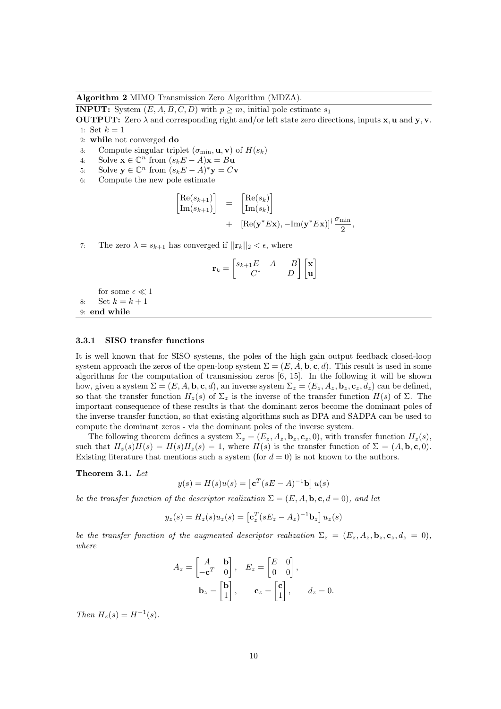Algorithm 2 MIMO Transmission Zero Algorithm (MDZA).

**INPUT:** System  $(E, A, B, C, D)$  with  $p \geq m$ , initial pole estimate  $s_1$ 

**OUTPUT:** Zero  $\lambda$  and corresponding right and/or left state zero directions, inputs **x**, **u** and **y**, **v**. 1: Set  $k = 1$ 

- 2: while not converged do
- 3: Compute singular triplet  $(\sigma_{\min}, \mathbf{u}, \mathbf{v})$  of  $H(s_k)$
- 4: Solve  $\mathbf{x} \in \mathbb{C}^n$  from  $(s_k E A)\mathbf{x} = B\mathbf{u}$
- 5: Solve  $\mathbf{y} \in \mathbb{C}^n$  from  $(s_k E A)^* \mathbf{y} = C \mathbf{v}$
- 6: Compute the new pole estimate

$$
\begin{array}{rcl}\n\left[\text{Re}(s_{k+1})\right] & = & \left[\text{Re}(s_k)\right] \\
\left[\text{Im}(s_{k+1})\right] & = & \left[\text{Im}(s_k)\right] \\
& + & \left[\text{Re}(\mathbf{y}^*E\mathbf{x}), -\text{Im}(\mathbf{y}^*E\mathbf{x})\right]^\dagger \frac{\sigma_{\min}}{2},\n\end{array}
$$

7: The zero  $\lambda = s_{k+1}$  has converged if  $||\mathbf{r}_k||_2 < \epsilon$ , where

$$
\mathbf{r}_{k} = \begin{bmatrix} s_{k+1}E - A & -B \\ C^* & D \end{bmatrix} \begin{bmatrix} \mathbf{x} \\ \mathbf{u} \end{bmatrix}
$$

for some  $\epsilon \ll 1$ 8: Set  $k = k + 1$ 9: end while

#### 3.3.1 SISO transfer functions

It is well known that for SISO systems, the poles of the high gain output feedback closed-loop system approach the zeros of the open-loop system  $\Sigma = (E, A, \mathbf{b}, \mathbf{c}, d)$ . This result is used in some algorithms for the computation of transmission zeros [6, 15]. In the following it will be shown how, given a system  $\Sigma = (E, A, \mathbf{b}, \mathbf{c}, d)$ , an inverse system  $\Sigma_z = (E_z, A_z, \mathbf{b}_z, \mathbf{c}_z, d_z)$  can be defined, so that the transfer function  $H_z(s)$  of  $\Sigma_z$  is the inverse of the transfer function  $H(s)$  of  $\Sigma$ . The important consequence of these results is that the dominant zeros become the dominant poles of the inverse transfer function, so that existing algorithms such as DPA and SADPA can be used to compute the dominant zeros - via the dominant poles of the inverse system.

The following theorem defines a system  $\Sigma_z = (E_z, A_z, \mathbf{b}_z, \mathbf{c}_z, 0)$ , with transfer function  $H_z(s)$ , such that  $H_z(s)H(s) = H(s)H_z(s) = 1$ , where  $H(s)$  is the transfer function of  $\Sigma = (A, \mathbf{b}, \mathbf{c}, 0)$ . Existing literature that mentions such a system (for  $d = 0$ ) is not known to the authors.

#### Theorem 3.1. Let

$$
y(s) = H(s)u(s) = \left[\mathbf{c}^T(sE - A)^{-1}\mathbf{b}\right]u(s)
$$

be the transfer function of the descriptor realization  $\Sigma = (E, A, \mathbf{b}, \mathbf{c}, d = 0)$ , and let

$$
y_z(s) = H_z(s)u_z(s) = \left[\mathbf{c}_z^T(sE_z - A_z)^{-1}\mathbf{b}_z\right]u_z(s)
$$

be the transfer function of the augmented descriptor realization  $\Sigma_z = (E_z, A_z, \mathbf{b}_z, \mathbf{c}_z, d_z = 0),$ where

$$
A_z = \begin{bmatrix} A & \mathbf{b} \\ -\mathbf{c}^T & 0 \end{bmatrix}, \quad E_z = \begin{bmatrix} E & 0 \\ 0 & 0 \end{bmatrix},
$$

$$
\mathbf{b}_z = \begin{bmatrix} \mathbf{b} \\ 1 \end{bmatrix}, \qquad \mathbf{c}_z = \begin{bmatrix} \mathbf{c} \\ 1 \end{bmatrix}, \qquad d_z = 0.
$$

Then  $H_z(s) = H^{-1}(s)$ .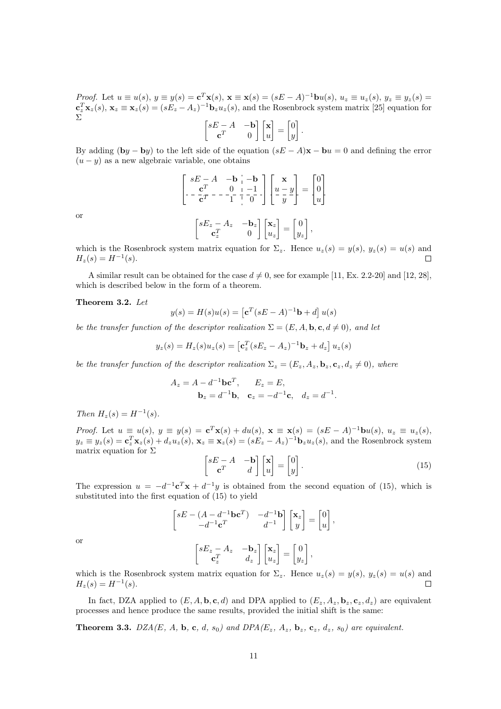*Proof.* Let  $u \equiv u(s)$ ,  $y \equiv y(s) = \mathbf{c}^T \mathbf{x}(s)$ ,  $\mathbf{x} \equiv \mathbf{x}(s) = (sE - A)^{-1} \mathbf{b} u(s)$ ,  $u_z \equiv u_z(s)$ ,  $y_z \equiv y_z(s) =$  ${\bf c}_z^T {\bf x}_z(s), {\bf x}_z \equiv {\bf x}_z(s) = (sE_z - A_z)^{-1} {\bf b}_z u_z(s),$  and the Rosenbrock system matrix [25] equation for Σ

$$
\begin{bmatrix} sE - A & -\mathbf{b} \\ \mathbf{c}^T & 0 \end{bmatrix} \begin{bmatrix} \mathbf{x} \\ u \end{bmatrix} = \begin{bmatrix} 0 \\ y \end{bmatrix}.
$$

By adding (by – by) to the left side of the equation  $(sE - A)\mathbf{x} - \mathbf{b}u = 0$  and defining the error  $(u - y)$  as a new algebraic variable, one obtains

$$
\begin{bmatrix} sE - A & -b & -b \\ -\frac{\mathbf{c}^T}{\mathbf{c}^T} & -\frac{0}{1} & -\frac{1}{0} \end{bmatrix} \begin{bmatrix} \mathbf{x} \\ \frac{u}{y} \end{bmatrix} = \begin{bmatrix} 0 \\ 0 \\ u \end{bmatrix}
$$

or

$$
\begin{bmatrix} sE_z-A_z & -\mathbf{b}_z \\ \mathbf{c}_z^T & 0 \end{bmatrix} \begin{bmatrix} \mathbf{x}_z \\ u_z \end{bmatrix} = \begin{bmatrix} 0 \\ y_z \end{bmatrix},
$$

which is the Rosenbrock system matrix equation for  $\Sigma_z$ . Hence  $u_z(s) = y(s)$ ,  $y_z(s) = u(s)$  and  $H_z(s) = H^{-1}(s).$  $\Box$ 

A similar result can be obtained for the case  $d \neq 0$ , see for example [11, Ex. 2.2-20] and [12, 28], which is described below in the form of a theorem.

#### Theorem 3.2. Let

$$
y(s) = H(s)u(s) = \left[\mathbf{c}^T(sE - A)^{-1}\mathbf{b} + d\right]u(s)
$$

be the transfer function of the descriptor realization  $\Sigma = (E, A, \mathbf{b}, \mathbf{c}, d \neq 0)$ , and let

$$
y_z(s) = H_z(s)u_z(s) = \left[\mathbf{c}_z^T(sE_z - A_z)^{-1}\mathbf{b}_z + d_z\right]u_z(s)
$$

be the transfer function of the descriptor realization  $\Sigma_z = (E_z, A_z, \mathbf{b}_z, \mathbf{c}_z, d_z \neq 0)$ , where

$$
A_z = A - d^{-1}bc^T
$$
,  $E_z = E$ ,  
 $b_z = d^{-1}b$ ,  $c_z = -d^{-1}c$ ,  $d_z = d^{-1}$ .

Then  $H_z(s) = H^{-1}(s)$ .

*Proof.* Let  $u \equiv u(s)$ ,  $y \equiv y(s) = \mathbf{c}^T \mathbf{x}(s) + du(s)$ ,  $\mathbf{x} \equiv \mathbf{x}(s) = (sE - A)^{-1} \mathbf{b} u(s)$ ,  $u_z \equiv u_z(s)$ ,  $y_z \equiv y_z(s) = \mathbf{c}_z^T \mathbf{x}_z(s) + d_z u_z(s), \mathbf{x}_z \equiv \mathbf{x}_z(s) = (sE_z - A_z)^{-1} \mathbf{b}_z u_z(s)$ , and the Rosenbrock system matrix equation for  $\Sigma$ 

$$
\begin{bmatrix} sE - A & -\mathbf{b} \\ \mathbf{c}^T & d \end{bmatrix} \begin{bmatrix} \mathbf{x} \\ u \end{bmatrix} = \begin{bmatrix} 0 \\ y \end{bmatrix} . \tag{15}
$$

The expression  $u = -d^{-1}c^T x + d^{-1}y$  is obtained from the second equation of (15), which is substituted into the first equation of (15) to yield

$$
\begin{bmatrix} sE - (A - d^{-1}\mathbf{b}\mathbf{c}^T) & -d^{-1}\mathbf{b} \\ -d^{-1}\mathbf{c}^T & d^{-1} \end{bmatrix} \begin{bmatrix} \mathbf{x}_z \\ y \end{bmatrix} = \begin{bmatrix} 0 \\ u \end{bmatrix},
$$

$$
\begin{bmatrix} sE_z - A_z & -\mathbf{b}_z \\ \mathbf{c}^T_z & d_z \end{bmatrix} \begin{bmatrix} \mathbf{x}_z \\ u_z \end{bmatrix} = \begin{bmatrix} 0 \\ y_z \end{bmatrix},
$$

or

$$
\begin{bmatrix} sE_z - Az & -\mathbf{b}_z \\ \mathbf{c}_z^T & d_z \end{bmatrix} \begin{bmatrix} \mathbf{x}_z \\ u_z \end{bmatrix} = \begin{bmatrix} 0 \\ y_z \end{bmatrix},
$$

which is the Rosenbrock system matrix equation for  $\Sigma_z$ . Hence  $u_z(s) = y(s)$ ,  $y_z(s) = u(s)$  and  $H_z(s) = H^{-1}(s).$  $\Box$ 

In fact, DZA applied to  $(E, A, \mathbf{b}, \mathbf{c}, d)$  and DPA applied to  $(E_z, A_z, \mathbf{b}_z, \mathbf{c}_z, d_z)$  are equivalent processes and hence produce the same results, provided the initial shift is the same:

**Theorem 3.3.** DZA(E, A, b, c, d, s<sub>0</sub>) and DPA(E<sub>z</sub>, A<sub>z</sub>, b<sub>z</sub>, c<sub>z</sub>, d<sub>z</sub>, s<sub>0</sub>) are equivalent.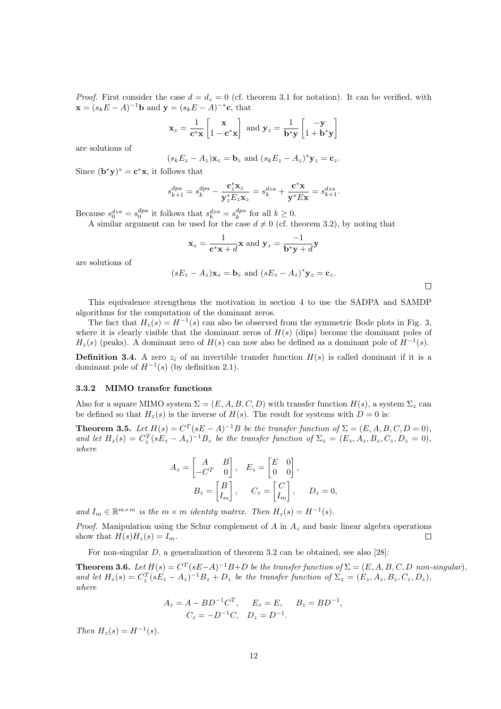*Proof.* First consider the case  $d = d_z = 0$  (cf. theorem 3.1 for notation). It can be verified, with  $\mathbf{x} = (s_k E - A)^{-1} \mathbf{b}$  and  $\mathbf{y} = (s_k E - A)^{-*} \mathbf{c}$ , that

$$
\mathbf{x}_z = \frac{1}{\mathbf{c}^* \mathbf{x}} \begin{bmatrix} \mathbf{x} \\ 1 - \mathbf{c}^* \mathbf{x} \end{bmatrix} \text{ and } \mathbf{y}_z = \frac{1}{\mathbf{b}^* \mathbf{y}} \begin{bmatrix} -\mathbf{y} \\ 1 + \mathbf{b}^* \mathbf{y} \end{bmatrix}
$$

are solutions of

$$
(s_k E_z - A_z) \mathbf{x}_z = \mathbf{b}_z
$$
 and  $(s_k E_z - A_z)^* \mathbf{y}_z = \mathbf{c}_z$ .

Since  $(\mathbf{b}^*\mathbf{y})^* = \mathbf{c}^*\mathbf{x}$ , it follows that

$$
s_{k+1}^{dpa} = s_k^{dpa} - \frac{\mathbf{c}_z^* \mathbf{x}_z}{\mathbf{y}_z^* E_z \mathbf{x}_z} = s_k^{dza} + \frac{\mathbf{c}^* \mathbf{x}}{\mathbf{y}^* E \mathbf{x}} = s_{k+1}^{dza}.
$$

Because  $s_0^{dza} = s_0^{dpa}$  it follows that  $s_k^{dza} = s_k^{dpa}$  for all  $k \ge 0$ .

A similar argument can be used for the case  $d \neq 0$  (cf. theorem 3.2), by noting that

$$
\mathbf{x}_z = \frac{1}{\mathbf{c}^* \mathbf{x} + d} \mathbf{x} \text{ and } \mathbf{y}_z = \frac{-1}{\mathbf{b}^* \mathbf{y} + d} \mathbf{y}
$$

are solutions of

$$
(sE_z - A_z)\mathbf{x}_z = \mathbf{b}_z
$$
 and  $(sE_z - A_z)^* \mathbf{y}_z = \mathbf{c}_z$ .

 $\Box$ 

This equivalence strengthens the motivation in section 4 to use the SADPA and SAMDP algorithms for the computation of the dominant zeros.

The fact that  $H_z(s) = H^{-1}(s)$  can also be observed from the symmetric Bode plots in Fig. 3, where it is clearly visible that the dominant zeros of  $H(s)$  (dips) become the dominant poles of  $H_z(s)$  (peaks). A dominant zero of  $H(s)$  can now also be defined as a dominant pole of  $H^{-1}(s)$ .

**Definition 3.4.** A zero  $z_i$  of an invertible transfer function  $H(s)$  is called dominant if it is a dominant pole of  $H^{-1}(s)$  (by definition 2.1).

#### 3.3.2 MIMO transfer functions

Also for a square MIMO system  $\Sigma = (E, A, B, C, D)$  with transfer function  $H(s)$ , a system  $\Sigma_z$  can be defined so that  $H_z(s)$  is the inverse of  $H(s)$ . The result for systems with  $D=0$  is:

**Theorem 3.5.** Let  $H(s) = C^T(sE - A)^{-1}B$  be the transfer function of  $\Sigma = (E, A, B, C, D = 0)$ , and let  $H_z(s) = C_z^T(sE_z - A_z)^{-1}B_z$  be the transfer function of  $\Sigma_z = (E_z, A_z, B_z, C_z, D_z = 0)$ , where

$$
A_z = \begin{bmatrix} A & B \\ -C^T & 0 \end{bmatrix}, \quad E_z = \begin{bmatrix} E & 0 \\ 0 & 0 \end{bmatrix},
$$

$$
B_z = \begin{bmatrix} B \\ I_m \end{bmatrix}, \quad C_z = \begin{bmatrix} C \\ I_m \end{bmatrix}, \quad D_z = 0,
$$

and  $I_m \in \mathbb{R}^{m \times m}$  is the  $m \times m$  identity matrix. Then  $H_z(s) = H^{-1}(s)$ .

*Proof.* Manipulation using the Schur complement of A in  $A_z$  and basic linear algebra operations show that  $H(s)H_z(s) = I_m$ .  $\Box$ 

For non-singular  $D$ , a generalization of theorem 3.2 can be obtained, see also [28]:

**Theorem 3.6.** Let  $H(s) = C^T(sE-A)^{-1}B+D$  be the transfer function of  $\Sigma = (E, A, B, C, D \text{ non-singular})$ , and let  $H_z(s) = C_z^T(sE_z - A_z)^{-1}B_z + D_z$  be the transfer function of  $\Sigma_z = (E_z, A_z, B_z, C_z, D_z)$ , where

$$
A_z = A - BD^{-1}C^T, \quad E_z = E, \quad B_z = BD^{-1},
$$
  

$$
C_z = -D^{-1}C, \quad D_z = D^{-1}.
$$

Then  $H_z(s) = H^{-1}(s)$ .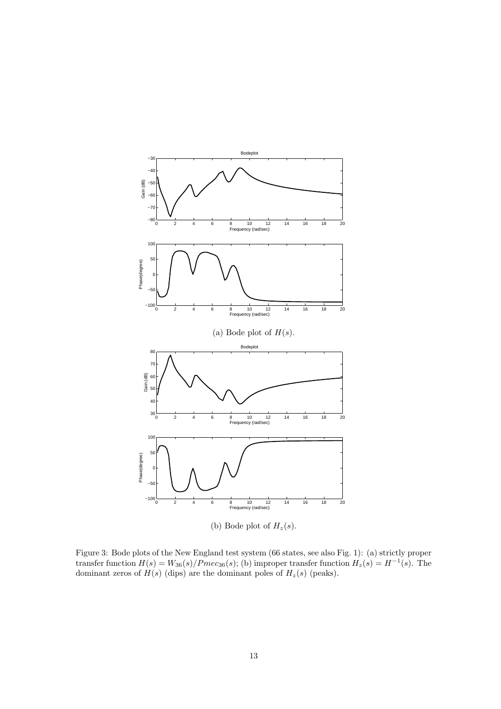

(b) Bode plot of  $H_z(s)$ .

Figure 3: Bode plots of the New England test system (66 states, see also Fig. 1): (a) strictly proper transfer function  $H(s) = W_{36}(s)/Pmc_{36}(s)$ ; (b) improper transfer function  $H_z(s) = H^{-1}(s)$ . The dominant zeros of  $H(s)$  (dips) are the dominant poles of  $H_z(s)$  (peaks).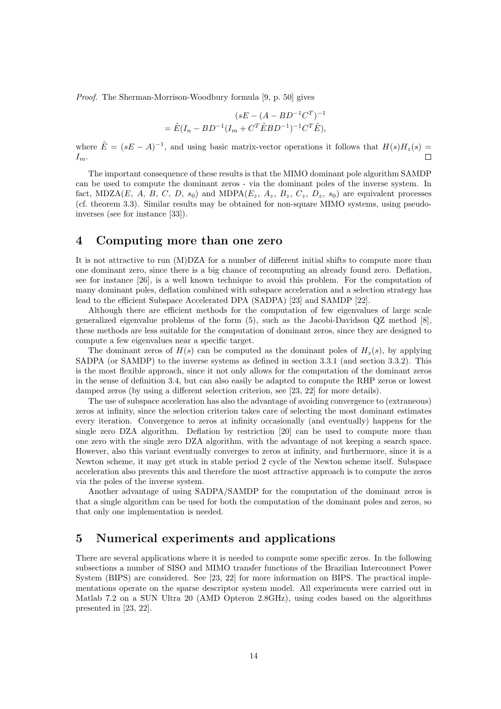Proof. The Sherman-Morrison-Woodbury formula [9, p. 50] gives

$$
(sE - (A - BD^{-1}C^{T})^{-1}) = \tilde{E}(I_n - BD^{-1}(I_m + C^{T} \tilde{E} BD^{-1})^{-1}C^{T} \tilde{E}),
$$

where  $\tilde{E} = (sE - A)^{-1}$ , and using basic matrix-vector operations it follows that  $H(s)H_z(s) =$  $\Box$  $I_m$ .

The important consequence of these results is that the MIMO dominant pole algorithm SAMDP can be used to compute the dominant zeros - via the dominant poles of the inverse system. In fact, MDZA(E, A, B, C, D,  $s_0$ ) and MDPA( $E_z$ ,  $A_z$ ,  $B_z$ ,  $C_z$ ,  $D_z$ ,  $s_0$ ) are equivalent processes (cf. theorem 3.3). Similar results may be obtained for non-square MIMO systems, using pseudoinverses (see for instance [33]).

#### 4 Computing more than one zero

It is not attractive to run (M)DZA for a number of different initial shifts to compute more than one dominant zero, since there is a big chance of recomputing an already found zero. Deflation, see for instance [26], is a well known technique to avoid this problem. For the computation of many dominant poles, deflation combined with subspace acceleration and a selection strategy has lead to the efficient Subspace Accelerated DPA (SADPA) [23] and SAMDP [22].

Although there are efficient methods for the computation of few eigenvalues of large scale generalized eigenvalue problems of the form (5), such as the Jacobi-Davidson QZ method [8], these methods are less suitable for the computation of dominant zeros, since they are designed to compute a few eigenvalues near a specific target.

The dominant zeros of  $H(s)$  can be computed as the dominant poles of  $H_z(s)$ , by applying SADPA (or SAMDP) to the inverse systems as defined in section 3.3.1 (and section 3.3.2). This is the most flexible approach, since it not only allows for the computation of the dominant zeros in the sense of definition 3.4, but can also easily be adapted to compute the RHP zeros or lowest damped zeros (by using a different selection criterion, see [23, 22] for more details).

The use of subspace acceleration has also the advantage of avoiding convergence to (extraneous) zeros at infinity, since the selection criterion takes care of selecting the most dominant estimates every iteration. Convergence to zeros at infinity occasionally (and eventually) happens for the single zero DZA algorithm. Deflation by restriction [20] can be used to compute more than one zero with the single zero DZA algorithm, with the advantage of not keeping a search space. However, also this variant eventually converges to zeros at infinity, and furthermore, since it is a Newton scheme, it may get stuck in stable period 2 cycle of the Newton scheme itself. Subspace acceleration also prevents this and therefore the most attractive approach is to compute the zeros via the poles of the inverse system.

Another advantage of using SADPA/SAMDP for the computation of the dominant zeros is that a single algorithm can be used for both the computation of the dominant poles and zeros, so that only one implementation is needed.

# 5 Numerical experiments and applications

There are several applications where it is needed to compute some specific zeros. In the following subsections a number of SISO and MIMO transfer functions of the Brazilian Interconnect Power System (BIPS) are considered. See [23, 22] for more information on BIPS. The practical implementations operate on the sparse descriptor system model. All experiments were carried out in Matlab 7.2 on a SUN Ultra 20 (AMD Opteron 2.8GHz), using codes based on the algorithms presented in [23, 22].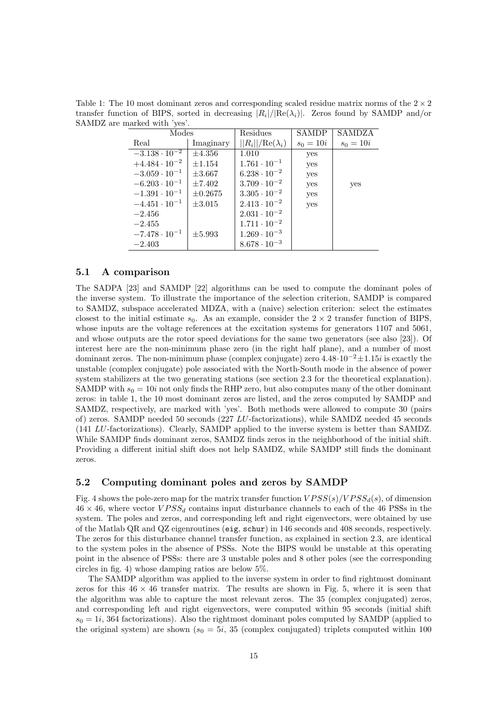| Modes                  |              | Residues                | <b>SAMDP</b> | SAMDZA      |
|------------------------|--------------|-------------------------|--------------|-------------|
| Real                   | Imaginary    | $  R_i  /Re(\lambda_i)$ | $s_0 = 10i$  | $s_0 = 10i$ |
| $-3.138 \cdot 10^{-2}$ | $\pm 4.356$  | 1.010                   | yes          |             |
| $+4.484 \cdot 10^{-2}$ | $\pm 1.154$  | $1.761 \cdot 10^{-1}$   | yes          |             |
| $-3.059 \cdot 10^{-1}$ | $\pm 3.667$  | $6.238 \cdot 10^{-2}$   | yes          |             |
| $-6.203 \cdot 10^{-1}$ | $\pm 7.402$  | $3.709 \cdot 10^{-2}$   | yes          | yes         |
| $-1.391 \cdot 10^{-1}$ | $\pm 0.2675$ | $3.305 \cdot 10^{-2}$   | yes          |             |
| $-4.451 \cdot 10^{-1}$ | $\pm 3.015$  | $2.413 \cdot 10^{-2}$   | yes          |             |
| $-2.456$               |              | $2.031 \cdot 10^{-2}$   |              |             |
| $-2.455$               |              | $1.711 \cdot 10^{-2}$   |              |             |
| $-7.478 \cdot 10^{-1}$ | $\pm 5.993$  | $1.269 \cdot 10^{-3}$   |              |             |
| $-2.403$               |              | $8.678 \cdot 10^{-3}$   |              |             |

Table 1: The 10 most dominant zeros and corresponding scaled residue matrix norms of the  $2 \times 2$ transfer function of BIPS, sorted in decreasing  $|R_i|/|Re(\lambda_i)|$ . Zeros found by SAMDP and/or SAMDZ are marked with 'yes'.

#### 5.1 A comparison

The SADPA [23] and SAMDP [22] algorithms can be used to compute the dominant poles of the inverse system. To illustrate the importance of the selection criterion, SAMDP is compared to SAMDZ, subspace accelerated MDZA, with a (naive) selection criterion: select the estimates closest to the initial estimate  $s_0$ . As an example, consider the  $2 \times 2$  transfer function of BIPS, whose inputs are the voltage references at the excitation systems for generators 1107 and 5061, and whose outputs are the rotor speed deviations for the same two generators (see also [23]). Of interest here are the non-minimum phase zero (in the right half plane), and a number of most dominant zeros. The non-minimum phase (complex conjugate) zero  $4.48 \cdot 10^{-2} \pm 1.15i$  is exactly the unstable (complex conjugate) pole associated with the North-South mode in the absence of power system stabilizers at the two generating stations (see section 2.3 for the theoretical explanation). SAMDP with  $s_0 = 10i$  not only finds the RHP zero, but also computes many of the other dominant zeros: in table 1, the 10 most dominant zeros are listed, and the zeros computed by SAMDP and SAMDZ, respectively, are marked with 'yes'. Both methods were allowed to compute 30 (pairs of) zeros. SAMDP needed 50 seconds (227 LU-factorizations), while SAMDZ needed 45 seconds (141 LU-factorizations). Clearly, SAMDP applied to the inverse system is better than SAMDZ. While SAMDP finds dominant zeros, SAMDZ finds zeros in the neighborhood of the initial shift. Providing a different initial shift does not help SAMDZ, while SAMDP still finds the dominant zeros.

#### 5.2 Computing dominant poles and zeros by SAMDP

Fig. 4 shows the pole-zero map for the matrix transfer function  $VPSS(s)/VPSS_d(s)$ , of dimension  $46 \times 46$ , where vector  $VPSS_d$  contains input disturbance channels to each of the 46 PSSs in the system. The poles and zeros, and corresponding left and right eigenvectors, were obtained by use of the Matlab QR and QZ eigenroutines (eig, schur) in 146 seconds and 408 seconds, respectively. The zeros for this disturbance channel transfer function, as explained in section 2.3, are identical to the system poles in the absence of PSSs. Note the BIPS would be unstable at this operating point in the absence of PSSs: there are 3 unstable poles and 8 other poles (see the corresponding circles in fig. 4) whose damping ratios are below 5%.

The SAMDP algorithm was applied to the inverse system in order to find rightmost dominant zeros for this  $46 \times 46$  transfer matrix. The results are shown in Fig. 5, where it is seen that the algorithm was able to capture the most relevant zeros. The 35 (complex conjugated) zeros, and corresponding left and right eigenvectors, were computed within 95 seconds (initial shift  $s_0 = 1i$ , 364 factorizations). Also the rightmost dominant poles computed by SAMDP (applied to the original system) are shown ( $s_0 = 5i$ , 35 (complex conjugated) triplets computed within 100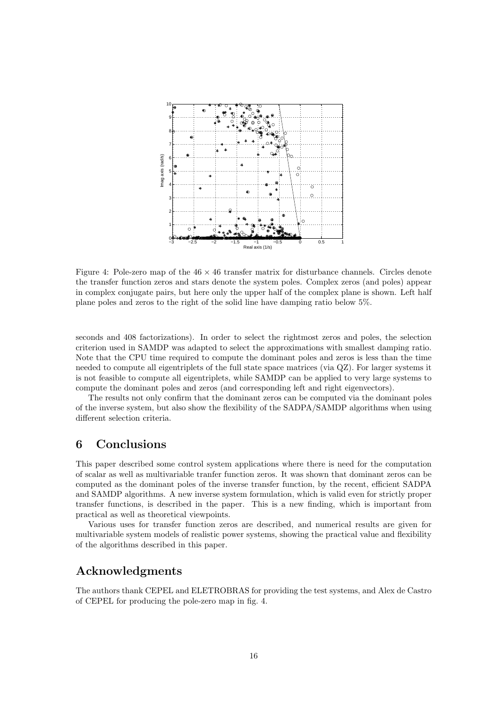

Figure 4: Pole-zero map of the  $46 \times 46$  transfer matrix for disturbance channels. Circles denote the transfer function zeros and stars denote the system poles. Complex zeros (and poles) appear in complex conjugate pairs, but here only the upper half of the complex plane is shown. Left half plane poles and zeros to the right of the solid line have damping ratio below 5%.

seconds and 408 factorizations). In order to select the rightmost zeros and poles, the selection criterion used in SAMDP was adapted to select the approximations with smallest damping ratio. Note that the CPU time required to compute the dominant poles and zeros is less than the time needed to compute all eigentriplets of the full state space matrices (via QZ). For larger systems it is not feasible to compute all eigentriplets, while SAMDP can be applied to very large systems to compute the dominant poles and zeros (and corresponding left and right eigenvectors).

The results not only confirm that the dominant zeros can be computed via the dominant poles of the inverse system, but also show the flexibility of the SADPA/SAMDP algorithms when using different selection criteria.

## 6 Conclusions

This paper described some control system applications where there is need for the computation of scalar as well as multivariable tranfer function zeros. It was shown that dominant zeros can be computed as the dominant poles of the inverse transfer function, by the recent, efficient SADPA and SAMDP algorithms. A new inverse system formulation, which is valid even for strictly proper transfer functions, is described in the paper. This is a new finding, which is important from practical as well as theoretical viewpoints.

Various uses for transfer function zeros are described, and numerical results are given for multivariable system models of realistic power systems, showing the practical value and flexibility of the algorithms described in this paper.

# Acknowledgments

The authors thank CEPEL and ELETROBRAS for providing the test systems, and Alex de Castro of CEPEL for producing the pole-zero map in fig. 4.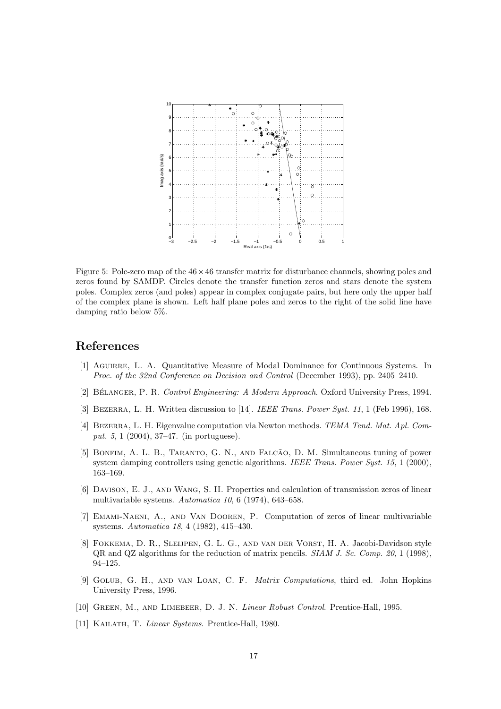

Figure 5: Pole-zero map of the  $46 \times 46$  transfer matrix for disturbance channels, showing poles and zeros found by SAMDP. Circles denote the transfer function zeros and stars denote the system poles. Complex zeros (and poles) appear in complex conjugate pairs, but here only the upper half of the complex plane is shown. Left half plane poles and zeros to the right of the solid line have damping ratio below 5%.

# References

- [1] Aguirre, L. A. Quantitative Measure of Modal Dominance for Continuous Systems. In Proc. of the 32nd Conference on Decision and Control (December 1993), pp. 2405–2410.
- [2] BÉLANGER, P. R. Control Engineering: A Modern Approach. Oxford University Press, 1994.
- [3] BEZERRA, L. H. Written discussion to [14]. IEEE Trans. Power Syst. 11, 1 (Feb 1996), 168.
- [4] Bezerra, L. H. Eigenvalue computation via Newton methods. TEMA Tend. Mat. Apl. Comput. 5, 1 (2004), 37–47. (in portuguese).
- [5] BONFIM, A. L. B., TARANTO, G. N., AND FALCÃO, D. M. Simultaneous tuning of power system damping controllers using genetic algorithms. IEEE Trans. Power Syst. 15, 1 (2000), 163–169.
- [6] Davison, E. J., and Wang, S. H. Properties and calculation of transmission zeros of linear multivariable systems. Automatica 10, 6 (1974), 643–658.
- [7] Emami-Naeni, A., and Van Dooren, P. Computation of zeros of linear multivariable systems. Automatica 18, 4 (1982), 415–430.
- [8] Fokkema, D. R., Sleijpen, G. L. G., and van der Vorst, H. A. Jacobi-Davidson style QR and QZ algorithms for the reduction of matrix pencils. SIAM J. Sc. Comp. 20, 1 (1998), 94–125.
- [9] Golub, G. H., and van Loan, C. F. Matrix Computations, third ed. John Hopkins University Press, 1996.
- [10] Green, M., and Limebeer, D. J. N. Linear Robust Control. Prentice-Hall, 1995.
- [11] KAILATH, T. Linear Systems. Prentice-Hall, 1980.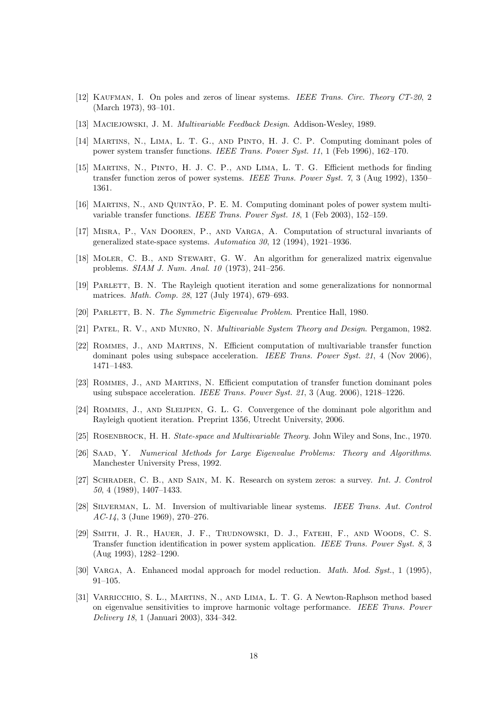- [12] KAUFMAN, I. On poles and zeros of linear systems. IEEE Trans. Circ. Theory CT-20, 2 (March 1973), 93–101.
- [13] Maciejowski, J. M. Multivariable Feedback Design. Addison-Wesley, 1989.
- [14] Martins, N., Lima, L. T. G., and Pinto, H. J. C. P. Computing dominant poles of power system transfer functions. IEEE Trans. Power Syst. 11, 1 (Feb 1996), 162–170.
- [15] Martins, N., Pinto, H. J. C. P., and Lima, L. T. G. Efficient methods for finding transfer function zeros of power systems. IEEE Trans. Power Syst. 7, 3 (Aug 1992), 1350– 1361.
- [16] MARTINS, N., AND QUINTÃO, P. E. M. Computing dominant poles of power system multivariable transfer functions. IEEE Trans. Power Syst. 18, 1 (Feb 2003), 152–159.
- [17] Misra, P., Van Dooren, P., and Varga, A. Computation of structural invariants of generalized state-space systems. Automatica 30, 12 (1994), 1921–1936.
- [18] Moler, C. B., and Stewart, G. W. An algorithm for generalized matrix eigenvalue problems. SIAM J. Num. Anal. 10 (1973), 241–256.
- [19] Parlett, B. N. The Rayleigh quotient iteration and some generalizations for nonnormal matrices. Math. Comp. 28, 127 (July 1974), 679–693.
- [20] Parlett, B. N. The Symmetric Eigenvalue Problem. Prentice Hall, 1980.
- [21] Patel, R. V., and Munro, N. Multivariable System Theory and Design. Pergamon, 1982.
- [22] Rommes, J., and Martins, N. Efficient computation of multivariable transfer function dominant poles using subspace acceleration. IEEE Trans. Power Syst. 21, 4 (Nov 2006), 1471–1483.
- [23] Rommes, J., and Martins, N. Efficient computation of transfer function dominant poles using subspace acceleration. IEEE Trans. Power Syst. 21, 3 (Aug. 2006),  $1218-1226$ .
- [24] ROMMES, J., AND SLEIJPEN, G. L. G. Convergence of the dominant pole algorithm and Rayleigh quotient iteration. Preprint 1356, Utrecht University, 2006.
- [25] ROSENBROCK, H. H. State-space and Multivariable Theory. John Wiley and Sons, Inc., 1970.
- [26] Saad, Y. Numerical Methods for Large Eigenvalue Problems: Theory and Algorithms. Manchester University Press, 1992.
- [27] Schrader, C. B., and Sain, M. K. Research on system zeros: a survey. Int. J. Control 50, 4 (1989), 1407–1433.
- [28] Silverman, L. M. Inversion of multivariable linear systems. IEEE Trans. Aut. Control AC-14, 3 (June 1969), 270–276.
- [29] Smith, J. R., Hauer, J. F., Trudnowski, D. J., Fatehi, F., and Woods, C. S. Transfer function identification in power system application. IEEE Trans. Power Syst. 8, 3 (Aug 1993), 1282–1290.
- [30] VARGA, A. Enhanced modal approach for model reduction. *Math. Mod. Syst.*, 1 (1995), 91–105.
- [31] Varricchio, S. L., Martins, N., and Lima, L. T. G. A Newton-Raphson method based on eigenvalue sensitivities to improve harmonic voltage performance. IEEE Trans. Power Delivery 18, 1 (Januari 2003), 334–342.